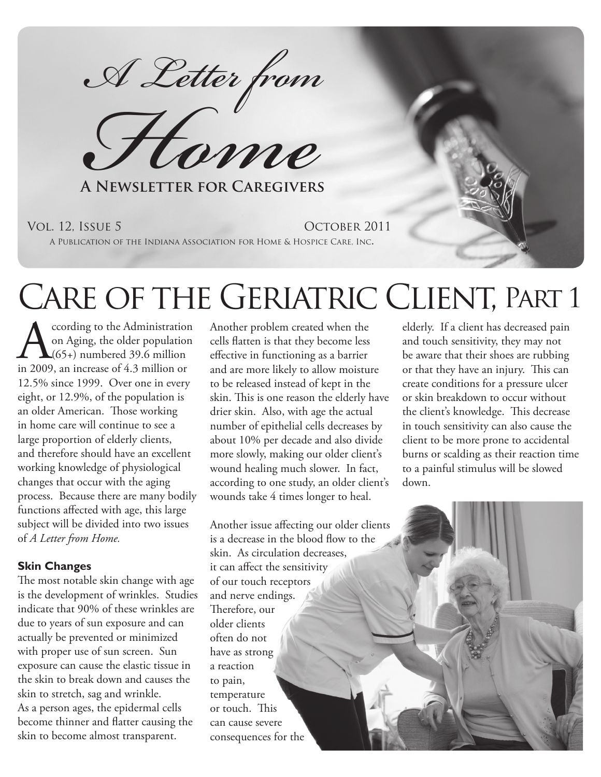*A Letter from*

**Flome** 

**A Newsletter for Caregivers**

#### Vol. 12, Issue 5 October 2011

A Publication of the Indiana Association for Home & Hospice Care, Inc.

# Care of the Geriatric Client, Part 1

 $\sum_{(65+)}\n \begin{array}{c}\n \text{cording to the Administration} \\
\text{on Aging, the older population} \\
\text{(65+) numbered 39.6 million} \\
\text{in 2009, an increase of 4.3 million or}\n \end{array}$ on Aging, the older population  $\bigcup_{65+}$  numbered 39.6 million in 2009, an increase of 4.3 million or 12.5% since 1999. Over one in every eight, or 12.9%, of the population is an older American. Those working in home care will continue to see a large proportion of elderly clients, and therefore should have an excellent working knowledge of physiological changes that occur with the aging process. Because there are many bodily functions affected with age, this large subject will be divided into two issues of *A Letter from Home.*

### **Skin Changes**

The most notable skin change with age is the development of wrinkles. Studies indicate that 90% of these wrinkles are due to years of sun exposure and can actually be prevented or minimized with proper use of sun screen. Sun exposure can cause the elastic tissue in the skin to break down and causes the skin to stretch, sag and wrinkle. As a person ages, the epidermal cells become thinner and flatter causing the skin to become almost transparent.

Another problem created when the cells flatten is that they become less effective in functioning as a barrier and are more likely to allow moisture to be released instead of kept in the skin. This is one reason the elderly have drier skin. Also, with age the actual number of epithelial cells decreases by about 10% per decade and also divide more slowly, making our older client's wound healing much slower. In fact, according to one study, an older client's wounds take 4 times longer to heal.

Another issue affecting our older clients is a decrease in the blood flow to the skin. As circulation decreases, it can affect the sensitivity of our touch receptors and nerve endings. Therefore, our older clients often do not have as strong a reaction to pain, temperature or touch. This can cause severe consequences for the

elderly. If a client has decreased pain and touch sensitivity, they may not be aware that their shoes are rubbing or that they have an injury. This can create conditions for a pressure ulcer or skin breakdown to occur without the client's knowledge. This decrease in touch sensitivity can also cause the client to be more prone to accidental burns or scalding as their reaction time to a painful stimulus will be slowed down.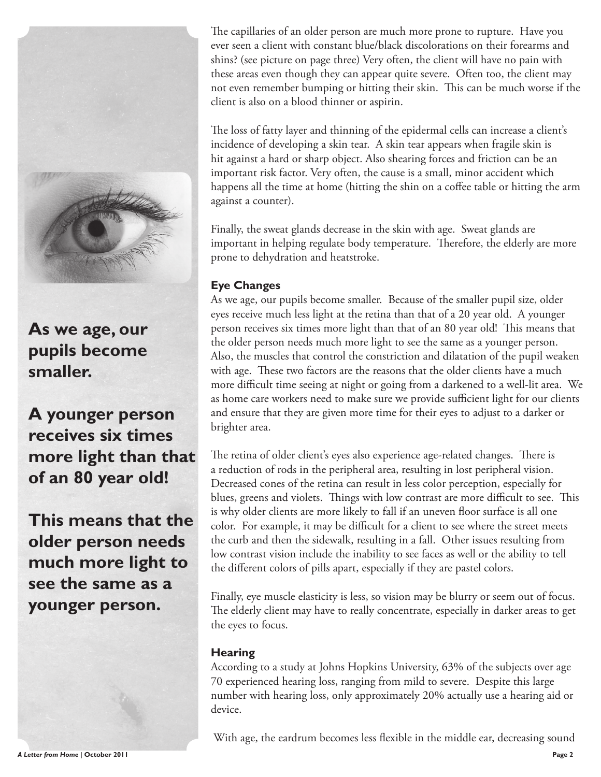

**As we age, our pupils become smaller.** 

**A younger person receives six times more light than that of an 80 year old!** 

**This means that the older person needs much more light to see the same as a younger person.** 

The capillaries of an older person are much more prone to rupture. Have you ever seen a client with constant blue/black discolorations on their forearms and shins? (see picture on page three) Very often, the client will have no pain with these areas even though they can appear quite severe. Often too, the client may not even remember bumping or hitting their skin. This can be much worse if the client is also on a blood thinner or aspirin.

The loss of fatty layer and thinning of the epidermal cells can increase a client's incidence of developing a skin tear. A skin tear appears when fragile skin is hit against a hard or sharp object. Also shearing forces and friction can be an important risk factor. Very often, the cause is a small, minor accident which happens all the time at home (hitting the shin on a coffee table or hitting the arm against a counter).

Finally, the sweat glands decrease in the skin with age. Sweat glands are important in helping regulate body temperature. Therefore, the elderly are more prone to dehydration and heatstroke.

# **Eye Changes**

As we age, our pupils become smaller. Because of the smaller pupil size, older eyes receive much less light at the retina than that of a 20 year old. A younger person receives six times more light than that of an 80 year old! This means that the older person needs much more light to see the same as a younger person. Also, the muscles that control the constriction and dilatation of the pupil weaken with age. These two factors are the reasons that the older clients have a much more difficult time seeing at night or going from a darkened to a well-lit area. We as home care workers need to make sure we provide sufficient light for our clients and ensure that they are given more time for their eyes to adjust to a darker or brighter area.

The retina of older client's eyes also experience age-related changes. There is a reduction of rods in the peripheral area, resulting in lost peripheral vision. Decreased cones of the retina can result in less color perception, especially for blues, greens and violets. Things with low contrast are more difficult to see. This is why older clients are more likely to fall if an uneven floor surface is all one color. For example, it may be difficult for a client to see where the street meets the curb and then the sidewalk, resulting in a fall. Other issues resulting from low contrast vision include the inability to see faces as well or the ability to tell the different colors of pills apart, especially if they are pastel colors.

Finally, eye muscle elasticity is less, so vision may be blurry or seem out of focus. The elderly client may have to really concentrate, especially in darker areas to get the eyes to focus.

### **Hearing**

According to a study at Johns Hopkins University, 63% of the subjects over age 70 experienced hearing loss, ranging from mild to severe. Despite this large number with hearing loss, only approximately 20% actually use a hearing aid or device.

With age, the eardrum becomes less flexible in the middle ear, decreasing sound